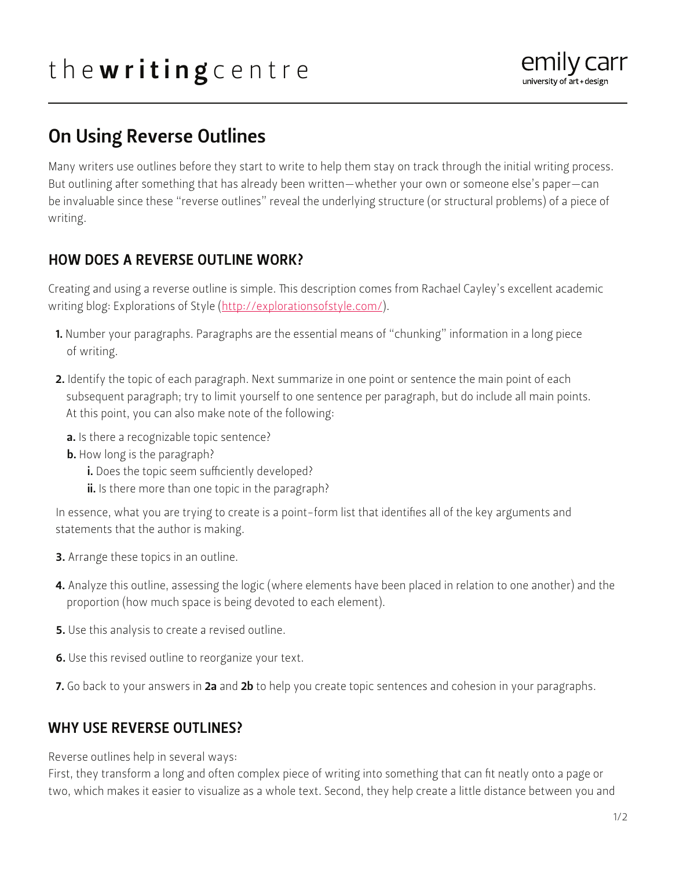# the writing centre



# On Using Reverse Outlines

Many writers use outlines before they start to write to help them stay on track through the initial writing process. But outlining after something that has already been written—whether your own or someone else's paper—can be invaluable since these "reverse outlines" reveal the underlying structure (or structural problems) of a piece of writing.

## HOW DOES A REVERSE OUTLINE WORK?

Creating and using a reverse outline is simple. This description comes from Rachael Cayley's excellent academic writing blog: Explorations of Style ([http://explorationsofstyle.com/\)](http://explorationsofstyle.com/).

- 1. Number your paragraphs. Paragraphs are the essential means of "chunking" information in a long piece of writing.
- 2. Identify the topic of each paragraph. Next summarize in one point or sentence the main point of each subsequent paragraph; try to limit yourself to one sentence per paragraph, but do include all main points. At this point, you can also make note of the following:
	- a. Is there a recognizable topic sentence?
	- **b.** How long is the paragraph?
		- i. Does the topic seem sufficiently developed?
		- ii. Is there more than one topic in the paragraph?

In essence, what you are trying to create is a point-form list that identifies all of the key arguments and statements that the author is making.

- 3. Arrange these topics in an outline.
- 4. Analyze this outline, assessing the logic (where elements have been placed in relation to one another) and the proportion (how much space is being devoted to each element).
- 5. Use this analysis to create a revised outline.
- 6. Use this revised outline to reorganize your text.
- 7. Go back to your answers in 2a and 2b to help you create topic sentences and cohesion in your paragraphs.

# WHY USE REVERSE OUTLINES?

Reverse outlines help in several ways:

First, they transform a long and often complex piece of writing into something that can fit neatly onto a page or two, which makes it easier to visualize as a whole text. Second, they help create a little distance between you and